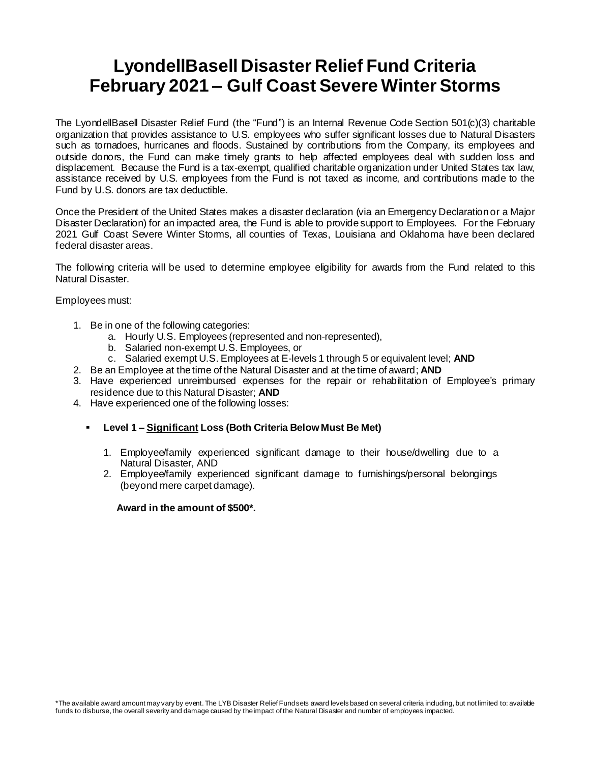## **LyondellBasell Disaster Relief Fund Criteria February 2021 – Gulf Coast Severe Winter Storms**

The LyondellBasell Disaster Relief Fund (the "Fund") is an Internal Revenue Code Section 501(c)(3) charitable organization that provides assistance to U.S. employees who suffer significant losses due to Natural Disasters such as tornadoes, hurricanes and floods. Sustained by contributions from the Company, its employees and outside donors, the Fund can make timely grants to help affected employees deal with sudden loss and displacement. Because the Fund is a tax-exempt, qualified charitable organization under United States tax law, assistance received by U.S. employees from the Fund is not taxed as income, and contributions made to the Fund by U.S. donors are tax deductible.

Once the President of the United States makes a disaster declaration (via an Emergency Declaration or a Major Disaster Declaration) for an impacted area, the Fund is able to provide support to Employees. For the February 2021 Gulf Coast Severe Winter Storms, all counties of Texas, Louisiana and Oklahoma have been declared federal disaster areas.

The following criteria will be used to determine employee eligibility for awards from the Fund related to this Natural Disaster.

Employees must:

- 1. Be in one of the following categories:
	- a. Hourly U.S. Employees (represented and non-represented),
	- b. Salaried non-exempt U.S. Employees, or
	- c. Salaried exempt U.S. Employees at E-levels 1 through 5 or equivalent level; **AND**
- 2. Be an Employee at the time of the Natural Disaster and at the time of award; **AND**
- 3. Have experienced unreimbursed expenses for the repair or rehabilitation of Employee's primary residence due to this Natural Disaster; **AND**
- 4. Have experienced one of the following losses:
	- **Level 1 – Significant Loss (Both Criteria Below Must Be Met)**
		- 1. Employee/family experienced significant damage to their house/dwelling due to a Natural Disaster, AND
		- 2. Employee/family experienced significant damage to furnishings/personal belongings (beyond mere carpet damage).

**Award in the amount of \$500\*.**